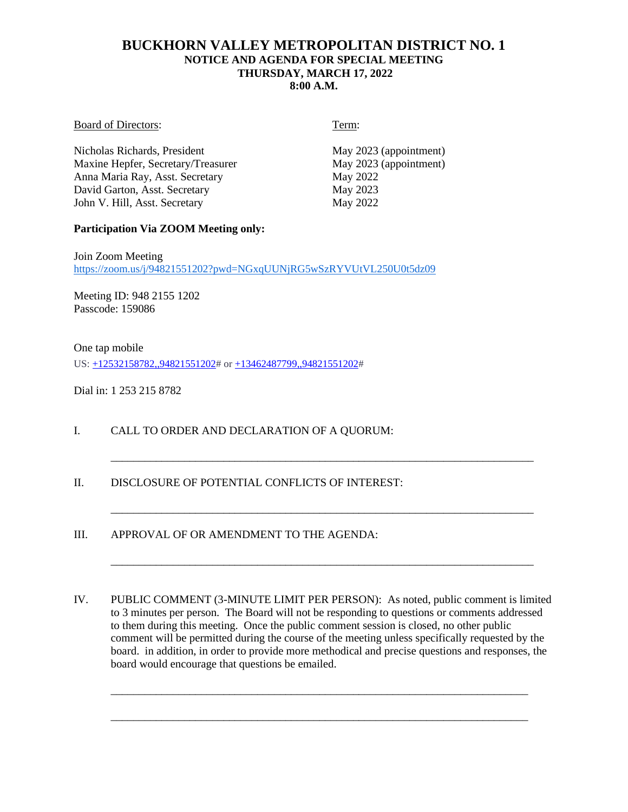# **BUCKHORN VALLEY METROPOLITAN DISTRICT NO. 1 NOTICE AND AGENDA FOR SPECIAL MEETING THURSDAY, MARCH 17, 2022 8:00 A.M.**

#### Board of Directors: Term:

Nicholas Richards, President May 2023 (appointment)<br>
May 2023 (appointment)<br>
May 2023 (appointment) Maxine Hepfer, Secretary/Treasurer Anna Maria Ray, Asst. Secretary May 2022 David Garton, Asst. Secretary May 2023 John V. Hill, Asst. Secretary May 2022

## **Participation Via ZOOM Meeting only:**

Join Zoom Meeting <https://zoom.us/j/94821551202?pwd=NGxqUUNjRG5wSzRYVUtVL250U0t5dz09>

Meeting ID: 948 2155 1202 Passcode: 159086

One tap mobile US: [+12532158782,,94821551202#](tel:+12532158782,,94821551202) or [+13462487799,,94821551202#](tel:+13462487799,,94821551202)

Dial in: 1 253 215 8782

- I. CALL TO ORDER AND DECLARATION OF A QUORUM:
- II. DISCLOSURE OF POTENTIAL CONFLICTS OF INTEREST:

III. APPROVAL OF OR AMENDMENT TO THE AGENDA:

IV. PUBLIC COMMENT (3-MINUTE LIMIT PER PERSON): As noted, public comment is limited to 3 minutes per person. The Board will not be responding to questions or comments addressed to them during this meeting. Once the public comment session is closed, no other public comment will be permitted during the course of the meeting unless specifically requested by the board. in addition, in order to provide more methodical and precise questions and responses, the board would encourage that questions be emailed.

\_\_\_\_\_\_\_\_\_\_\_\_\_\_\_\_\_\_\_\_\_\_\_\_\_\_\_\_\_\_\_\_\_\_\_\_\_\_\_\_\_\_\_\_\_\_\_\_\_\_\_\_\_\_\_\_\_\_\_\_\_\_\_\_\_\_\_\_\_\_\_\_\_\_

\_\_\_\_\_\_\_\_\_\_\_\_\_\_\_\_\_\_\_\_\_\_\_\_\_\_\_\_\_\_\_\_\_\_\_\_\_\_\_\_\_\_\_\_\_\_\_\_\_\_\_\_\_\_\_\_\_\_\_\_\_\_\_\_\_\_\_\_\_\_\_\_\_\_

\_\_\_\_\_\_\_\_\_\_\_\_\_\_\_\_\_\_\_\_\_\_\_\_\_\_\_\_\_\_\_\_\_\_\_\_\_\_\_\_\_\_\_\_\_\_\_\_\_\_\_\_\_\_\_\_\_\_\_\_\_\_\_\_\_\_\_\_\_\_\_\_\_\_\_

\_\_\_\_\_\_\_\_\_\_\_\_\_\_\_\_\_\_\_\_\_\_\_\_\_\_\_\_\_\_\_\_\_\_\_\_\_\_\_\_\_\_\_\_\_\_\_\_\_\_\_\_\_\_\_\_\_\_\_\_\_\_\_\_\_\_\_\_\_\_\_\_\_\_\_

\_\_\_\_\_\_\_\_\_\_\_\_\_\_\_\_\_\_\_\_\_\_\_\_\_\_\_\_\_\_\_\_\_\_\_\_\_\_\_\_\_\_\_\_\_\_\_\_\_\_\_\_\_\_\_\_\_\_\_\_\_\_\_\_\_\_\_\_\_\_\_\_\_\_\_